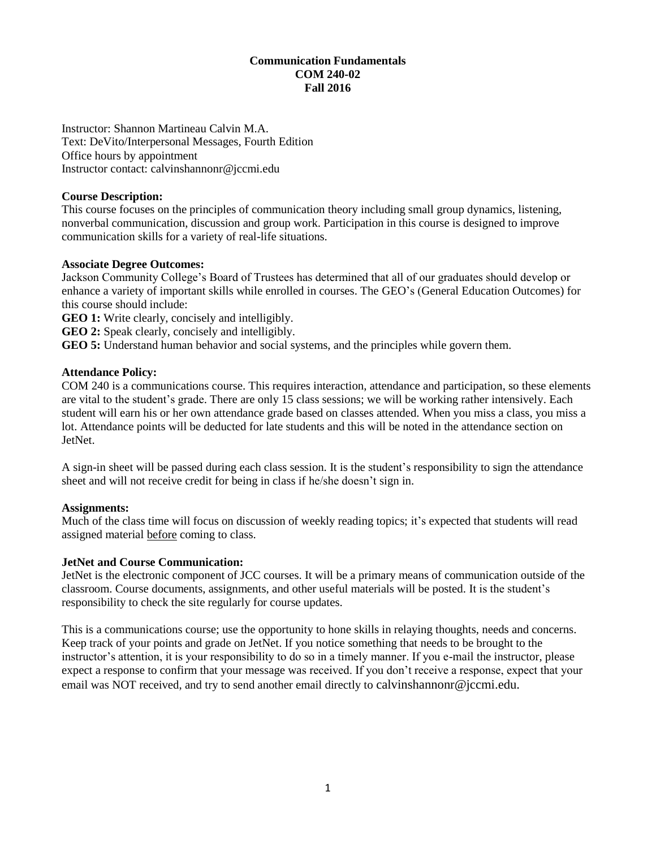# **Communication Fundamentals COM 240-02 Fall 2016**

Instructor: Shannon Martineau Calvin M.A. Text: DeVito/Interpersonal Messages, Fourth Edition Office hours by appointment Instructor contact: calvinshannonr@jccmi.edu

## **Course Description:**

This course focuses on the principles of communication theory including small group dynamics, listening, nonverbal communication, discussion and group work. Participation in this course is designed to improve communication skills for a variety of real-life situations.

## **Associate Degree Outcomes:**

Jackson Community College's Board of Trustees has determined that all of our graduates should develop or enhance a variety of important skills while enrolled in courses. The GEO's (General Education Outcomes) for this course should include:

**GEO 1:** Write clearly, concisely and intelligibly.

**GEO 2:** Speak clearly, concisely and intelligibly.

**GEO 5:** Understand human behavior and social systems, and the principles while govern them.

## **Attendance Policy:**

COM 240 is a communications course. This requires interaction, attendance and participation, so these elements are vital to the student's grade. There are only 15 class sessions; we will be working rather intensively. Each student will earn his or her own attendance grade based on classes attended. When you miss a class, you miss a lot. Attendance points will be deducted for late students and this will be noted in the attendance section on JetNet.

A sign-in sheet will be passed during each class session. It is the student's responsibility to sign the attendance sheet and will not receive credit for being in class if he/she doesn't sign in.

## **Assignments:**

Much of the class time will focus on discussion of weekly reading topics; it's expected that students will read assigned material before coming to class.

## **JetNet and Course Communication:**

JetNet is the electronic component of JCC courses. It will be a primary means of communication outside of the classroom. Course documents, assignments, and other useful materials will be posted. It is the student's responsibility to check the site regularly for course updates.

This is a communications course; use the opportunity to hone skills in relaying thoughts, needs and concerns. Keep track of your points and grade on JetNet. If you notice something that needs to be brought to the instructor's attention, it is your responsibility to do so in a timely manner. If you e-mail the instructor, please expect a response to confirm that your message was received. If you don't receive a response, expect that your email was NOT received, and try to send another email directly to calvinshannonr@jccmi.edu.